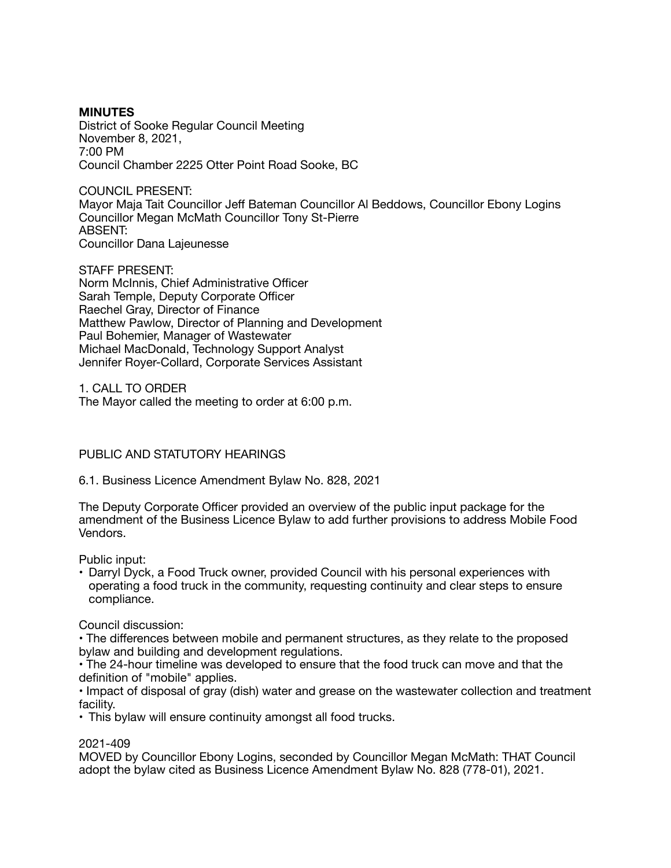#### **MINUTES**  District of Sooke Regular Council Meeting November 8, 2021, 7:00 PM Council Chamber 2225 Otter Point Road Sooke, BC

COUNCIL PRESENT: Mayor Maja Tait Councillor Jeff Bateman Councillor Al Beddows, Councillor Ebony Logins Councillor Megan McMath Councillor Tony St-Pierre ABSENT: Councillor Dana Lajeunesse

STAFF PRESENT: Norm McInnis, Chief Administrative Officer Sarah Temple, Deputy Corporate Officer Raechel Gray, Director of Finance Matthew Pawlow, Director of Planning and Development Paul Bohemier, Manager of Wastewater Michael MacDonald, Technology Support Analyst Jennifer Royer-Collard, Corporate Services Assistant

1. CALL TO ORDER The Mayor called the meeting to order at 6:00 p.m.

# PUBLIC AND STATUTORY HEARINGS

6.1. Business Licence Amendment Bylaw No. 828, 2021

The Deputy Corporate Officer provided an overview of the public input package for the amendment of the Business Licence Bylaw to add further provisions to address Mobile Food Vendors.

Public input:

• Darryl Dyck, a Food Truck owner, provided Council with his personal experiences with operating a food truck in the community, requesting continuity and clear steps to ensure compliance.

Council discussion:

• The differences between mobile and permanent structures, as they relate to the proposed bylaw and building and development regulations.

• The 24-hour timeline was developed to ensure that the food truck can move and that the definition of "mobile" applies.

• Impact of disposal of gray (dish) water and grease on the wastewater collection and treatment facility.

• This bylaw will ensure continuity amongst all food trucks.

# 2021-409

MOVED by Councillor Ebony Logins, seconded by Councillor Megan McMath: THAT Council adopt the bylaw cited as Business Licence Amendment Bylaw No. 828 (778-01), 2021.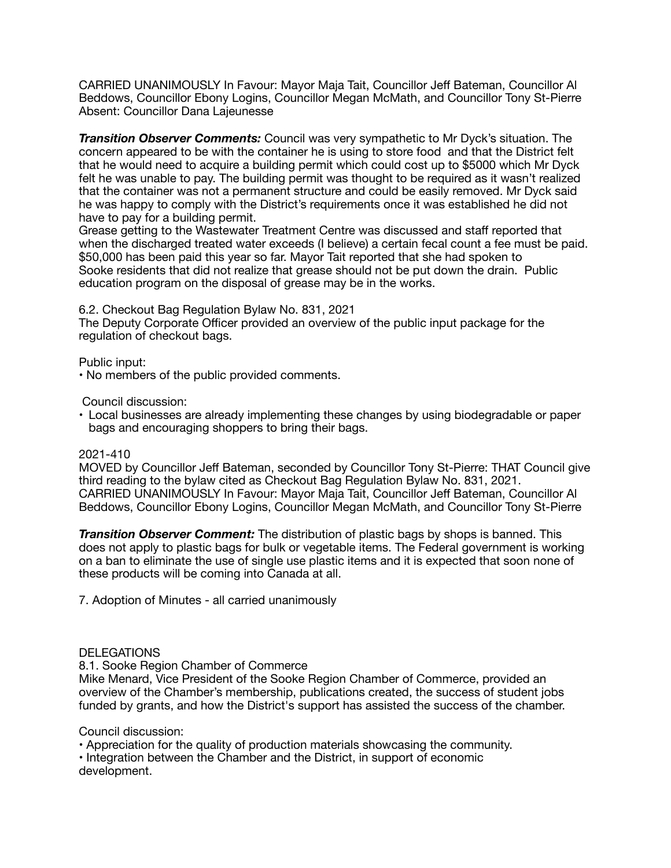CARRIED UNANIMOUSLY In Favour: Mayor Maja Tait, Councillor Jeff Bateman, Councillor Al Beddows, Councillor Ebony Logins, Councillor Megan McMath, and Councillor Tony St-Pierre Absent: Councillor Dana Lajeunesse

*Transition Observer Comments:* Council was very sympathetic to Mr Dyck's situation. The concern appeared to be with the container he is using to store food and that the District felt that he would need to acquire a building permit which could cost up to \$5000 which Mr Dyck felt he was unable to pay. The building permit was thought to be required as it wasn't realized that the container was not a permanent structure and could be easily removed. Mr Dyck said he was happy to comply with the District's requirements once it was established he did not have to pay for a building permit.

Grease getting to the Wastewater Treatment Centre was discussed and staff reported that when the discharged treated water exceeds (I believe) a certain fecal count a fee must be paid. \$50,000 has been paid this year so far. Mayor Tait reported that she had spoken to Sooke residents that did not realize that grease should not be put down the drain. Public education program on the disposal of grease may be in the works.

6.2. Checkout Bag Regulation Bylaw No. 831, 2021

The Deputy Corporate Officer provided an overview of the public input package for the regulation of checkout bags.

Public input:

• No members of the public provided comments.

Council discussion:

• Local businesses are already implementing these changes by using biodegradable or paper bags and encouraging shoppers to bring their bags.

#### 2021-410

MOVED by Councillor Jeff Bateman, seconded by Councillor Tony St-Pierre: THAT Council give third reading to the bylaw cited as Checkout Bag Regulation Bylaw No. 831, 2021. CARRIED UNANIMOUSLY In Favour: Mayor Maja Tait, Councillor Jeff Bateman, Councillor Al Beddows, Councillor Ebony Logins, Councillor Megan McMath, and Councillor Tony St-Pierre

*Transition Observer Comment:* The distribution of plastic bags by shops is banned. This does not apply to plastic bags for bulk or vegetable items. The Federal government is working on a ban to eliminate the use of single use plastic items and it is expected that soon none of these products will be coming into Canada at all.

7. Adoption of Minutes - all carried unanimously

# **DELEGATIONS**

8.1. Sooke Region Chamber of Commerce

Mike Menard, Vice President of the Sooke Region Chamber of Commerce, provided an overview of the Chamber's membership, publications created, the success of student jobs funded by grants, and how the District's support has assisted the success of the chamber.

Council discussion:

• Appreciation for the quality of production materials showcasing the community.

• Integration between the Chamber and the District, in support of economic development.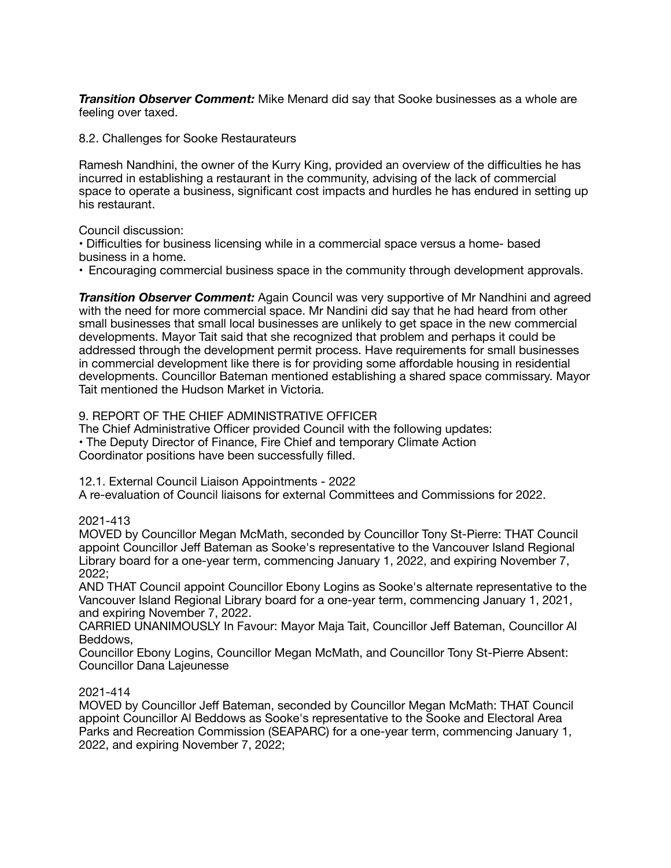*Transition Observer Comment:* Mike Menard did say that Sooke businesses as a whole are feeling over taxed.

8.2. Challenges for Sooke Restaurateurs

Ramesh Nandhini, the owner of the Kurry King, provided an overview of the difficulties he has incurred in establishing a restaurant in the community, advising of the lack of commercial space to operate a business, significant cost impacts and hurdles he has endured in setting up his restaurant.

Council discussion:

• Difficulties for business licensing while in a commercial space versus a home- based business in a home.

• Encouraging commercial business space in the community through development approvals.

**Transition Observer Comment:** Again Council was very supportive of Mr Nandhini and agreed with the need for more commercial space. Mr Nandini did say that he had heard from other small businesses that small local businesses are unlikely to get space in the new commercial developments. Mayor Tait said that she recognized that problem and perhaps it could be addressed through the development permit process. Have requirements for small businesses in commercial development like there is for providing some affordable housing in residential developments. Councillor Bateman mentioned establishing a shared space commissary. Mayor Tait mentioned the Hudson Market in Victoria.

### 9. REPORT OF THE CHIEF ADMINISTRATIVE OFFICER

The Chief Administrative Officer provided Council with the following updates: • The Deputy Director of Finance, Fire Chief and temporary Climate Action Coordinator positions have been successfully filled.

12.1. External Council Liaison Appointments - 2022

A re-evaluation of Council liaisons for external Committees and Commissions for 2022.

# 2021-413

MOVED by Councillor Megan McMath, seconded by Councillor Tony St-Pierre: THAT Council appoint Councillor Jeff Bateman as Sooke's representative to the Vancouver Island Regional Library board for a one-year term, commencing January 1, 2022, and expiring November 7, 2022;

AND THAT Council appoint Councillor Ebony Logins as Sooke's alternate representative to the Vancouver Island Regional Library board for a one-year term, commencing January 1, 2021, and expiring November 7, 2022.

CARRIED UNANIMOUSLY In Favour: Mayor Maja Tait, Councillor Jeff Bateman, Councillor Al Beddows,

Councillor Ebony Logins, Councillor Megan McMath, and Councillor Tony St-Pierre Absent: Councillor Dana Lajeunesse

#### 2021-414

MOVED by Councillor Jeff Bateman, seconded by Councillor Megan McMath: THAT Council appoint Councillor Al Beddows as Sooke's representative to the Sooke and Electoral Area Parks and Recreation Commission (SEAPARC) for a one-year term, commencing January 1, 2022, and expiring November 7, 2022;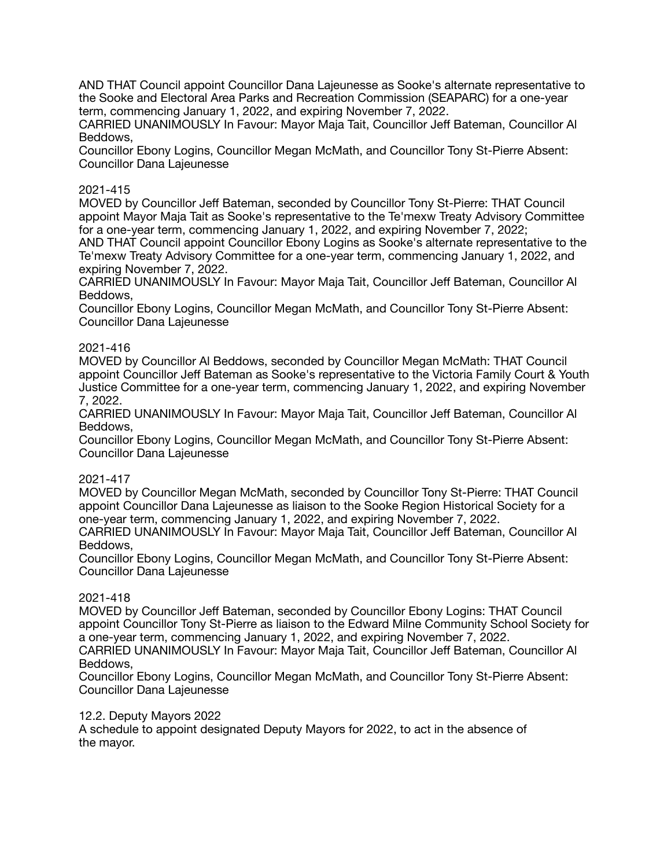AND THAT Council appoint Councillor Dana Lajeunesse as Sooke's alternate representative to the Sooke and Electoral Area Parks and Recreation Commission (SEAPARC) for a one-year term, commencing January 1, 2022, and expiring November 7, 2022.

CARRIED UNANIMOUSLY In Favour: Mayor Maja Tait, Councillor Jeff Bateman, Councillor Al Beddows,

Councillor Ebony Logins, Councillor Megan McMath, and Councillor Tony St-Pierre Absent: Councillor Dana Lajeunesse

### 2021-415

MOVED by Councillor Jeff Bateman, seconded by Councillor Tony St-Pierre: THAT Council appoint Mayor Maja Tait as Sooke's representative to the Te'mexw Treaty Advisory Committee for a one-year term, commencing January 1, 2022, and expiring November 7, 2022;

AND THAT Council appoint Councillor Ebony Logins as Sooke's alternate representative to the Te'mexw Treaty Advisory Committee for a one-year term, commencing January 1, 2022, and expiring November 7, 2022.

CARRIED UNANIMOUSLY In Favour: Mayor Maja Tait, Councillor Jeff Bateman, Councillor Al Beddows,

Councillor Ebony Logins, Councillor Megan McMath, and Councillor Tony St-Pierre Absent: Councillor Dana Lajeunesse

### 2021-416

MOVED by Councillor Al Beddows, seconded by Councillor Megan McMath: THAT Council appoint Councillor Jeff Bateman as Sooke's representative to the Victoria Family Court & Youth Justice Committee for a one-year term, commencing January 1, 2022, and expiring November 7, 2022.

CARRIED UNANIMOUSLY In Favour: Mayor Maja Tait, Councillor Jeff Bateman, Councillor Al Beddows,

Councillor Ebony Logins, Councillor Megan McMath, and Councillor Tony St-Pierre Absent: Councillor Dana Lajeunesse

#### 2021-417

MOVED by Councillor Megan McMath, seconded by Councillor Tony St-Pierre: THAT Council appoint Councillor Dana Lajeunesse as liaison to the Sooke Region Historical Society for a one-year term, commencing January 1, 2022, and expiring November 7, 2022.

CARRIED UNANIMOUSLY In Favour: Mayor Maja Tait, Councillor Jeff Bateman, Councillor Al Beddows,

Councillor Ebony Logins, Councillor Megan McMath, and Councillor Tony St-Pierre Absent: Councillor Dana Lajeunesse

#### 2021-418

MOVED by Councillor Jeff Bateman, seconded by Councillor Ebony Logins: THAT Council appoint Councillor Tony St-Pierre as liaison to the Edward Milne Community School Society for a one-year term, commencing January 1, 2022, and expiring November 7, 2022.

CARRIED UNANIMOUSLY In Favour: Mayor Maja Tait, Councillor Jeff Bateman, Councillor Al Beddows,

Councillor Ebony Logins, Councillor Megan McMath, and Councillor Tony St-Pierre Absent: Councillor Dana Lajeunesse

#### 12.2. Deputy Mayors 2022

A schedule to appoint designated Deputy Mayors for 2022, to act in the absence of the mayor.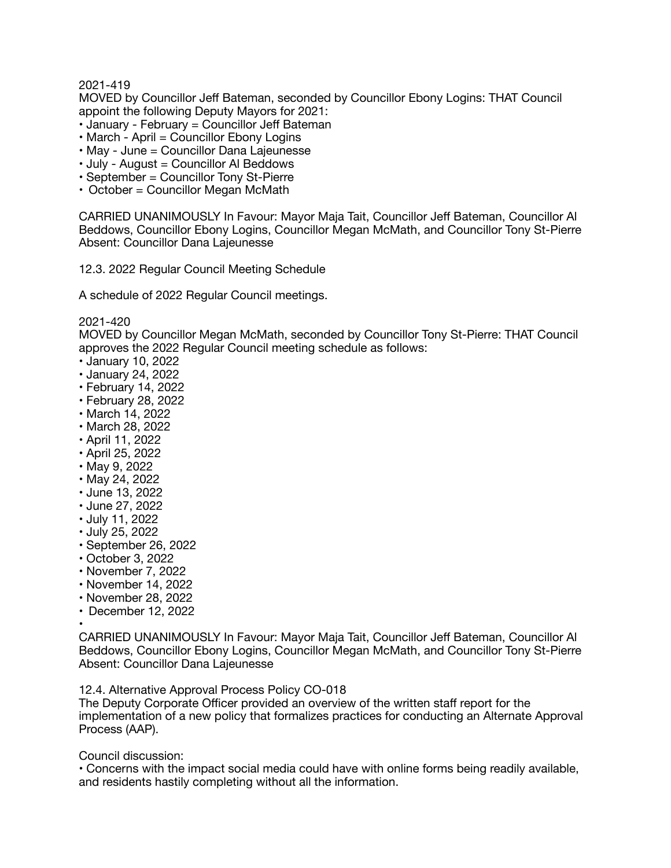2021-419

MOVED by Councillor Jeff Bateman, seconded by Councillor Ebony Logins: THAT Council appoint the following Deputy Mayors for 2021:

- January February = Councillor Jeff Bateman
- March April = Councillor Ebony Logins
- May June = Councillor Dana Lajeunesse
- July August = Councillor Al Beddows
- September = Councillor Tony St-Pierre
- October = Councillor Megan McMath

CARRIED UNANIMOUSLY In Favour: Mayor Maja Tait, Councillor Jeff Bateman, Councillor Al Beddows, Councillor Ebony Logins, Councillor Megan McMath, and Councillor Tony St-Pierre Absent: Councillor Dana Lajeunesse

12.3. 2022 Regular Council Meeting Schedule

A schedule of 2022 Regular Council meetings.

2021-420

MOVED by Councillor Megan McMath, seconded by Councillor Tony St-Pierre: THAT Council approves the 2022 Regular Council meeting schedule as follows:

- January 10, 2022
- January 24, 2022
- February 14, 2022
- February 28, 2022
- March 14, 2022
- March 28, 2022
- April 11, 2022
- April 25, 2022
- May 9, 2022
- May 24, 2022
- June 13, 2022
- June 27, 2022
- July 11, 2022
- July 25, 2022
- September 26, 2022
- October 3, 2022
- 
- November 7, 2022 • November 14, 2022
- 
- November 28, 2022
- December 12, 2022

•

CARRIED UNANIMOUSLY In Favour: Mayor Maja Tait, Councillor Jeff Bateman, Councillor Al Beddows, Councillor Ebony Logins, Councillor Megan McMath, and Councillor Tony St-Pierre Absent: Councillor Dana Lajeunesse

12.4. Alternative Approval Process Policy CO-018

The Deputy Corporate Officer provided an overview of the written staff report for the implementation of a new policy that formalizes practices for conducting an Alternate Approval Process (AAP).

Council discussion:

• Concerns with the impact social media could have with online forms being readily available, and residents hastily completing without all the information.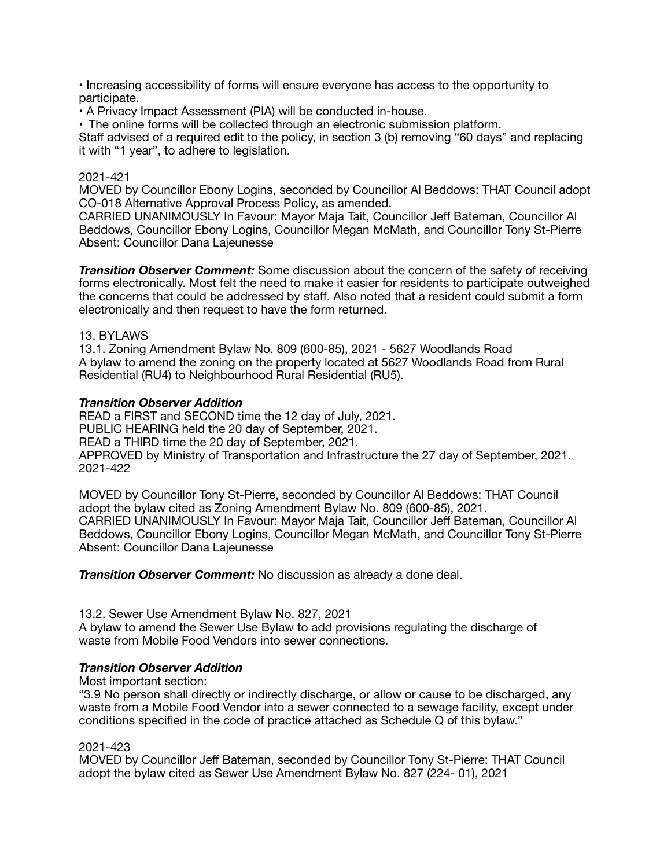• Increasing accessibility of forms will ensure everyone has access to the opportunity to participate.

• A Privacy Impact Assessment (PIA) will be conducted in-house.

• The online forms will be collected through an electronic submission platform.

Staff advised of a required edit to the policy, in section 3 (b) removing "60 days" and replacing it with "1 year", to adhere to legislation.

## 2021-421

MOVED by Councillor Ebony Logins, seconded by Councillor Al Beddows: THAT Council adopt CO-018 Alternative Approval Process Policy, as amended.

CARRIED UNANIMOUSLY In Favour: Mayor Maja Tait, Councillor Jeff Bateman, Councillor Al Beddows, Councillor Ebony Logins, Councillor Megan McMath, and Councillor Tony St-Pierre Absent: Councillor Dana Lajeunesse

*Transition Observer Comment:* Some discussion about the concern of the safety of receiving forms electronically. Most felt the need to make it easier for residents to participate outweighed the concerns that could be addressed by staff. Also noted that a resident could submit a form electronically and then request to have the form returned.

### 13. BYLAWS

13.1. Zoning Amendment Bylaw No. 809 (600-85), 2021 - 5627 Woodlands Road A bylaw to amend the zoning on the property located at 5627 Woodlands Road from Rural Residential (RU4) to Neighbourhood Rural Residential (RU5).

### *Transition Observer Addition*

READ a FIRST and SECOND time the 12 day of July, 2021. PUBLIC HEARING held the 20 day of September, 2021. READ a THIRD time the 20 day of September, 2021. APPROVED by Ministry of Transportation and Infrastructure the 27 day of September, 2021. 2021-422

MOVED by Councillor Tony St-Pierre, seconded by Councillor Al Beddows: THAT Council adopt the bylaw cited as Zoning Amendment Bylaw No. 809 (600-85), 2021. CARRIED UNANIMOUSLY In Favour: Mayor Maja Tait, Councillor Jeff Bateman, Councillor Al Beddows, Councillor Ebony Logins, Councillor Megan McMath, and Councillor Tony St-Pierre Absent: Councillor Dana Lajeunesse

*Transition Observer Comment:* No discussion as already a done deal.

13.2. Sewer Use Amendment Bylaw No. 827, 2021

A bylaw to amend the Sewer Use Bylaw to add provisions regulating the discharge of waste from Mobile Food Vendors into sewer connections.

# *Transition Observer Addition*

Most important section:

"3.9 No person shall directly or indirectly discharge, or allow or cause to be discharged, any waste from a Mobile Food Vendor into a sewer connected to a sewage facility, except under conditions specified in the code of practice attached as Schedule Q of this bylaw."

#### 2021-423

MOVED by Councillor Jeff Bateman, seconded by Councillor Tony St-Pierre: THAT Council adopt the bylaw cited as Sewer Use Amendment Bylaw No. 827 (224- 01), 2021